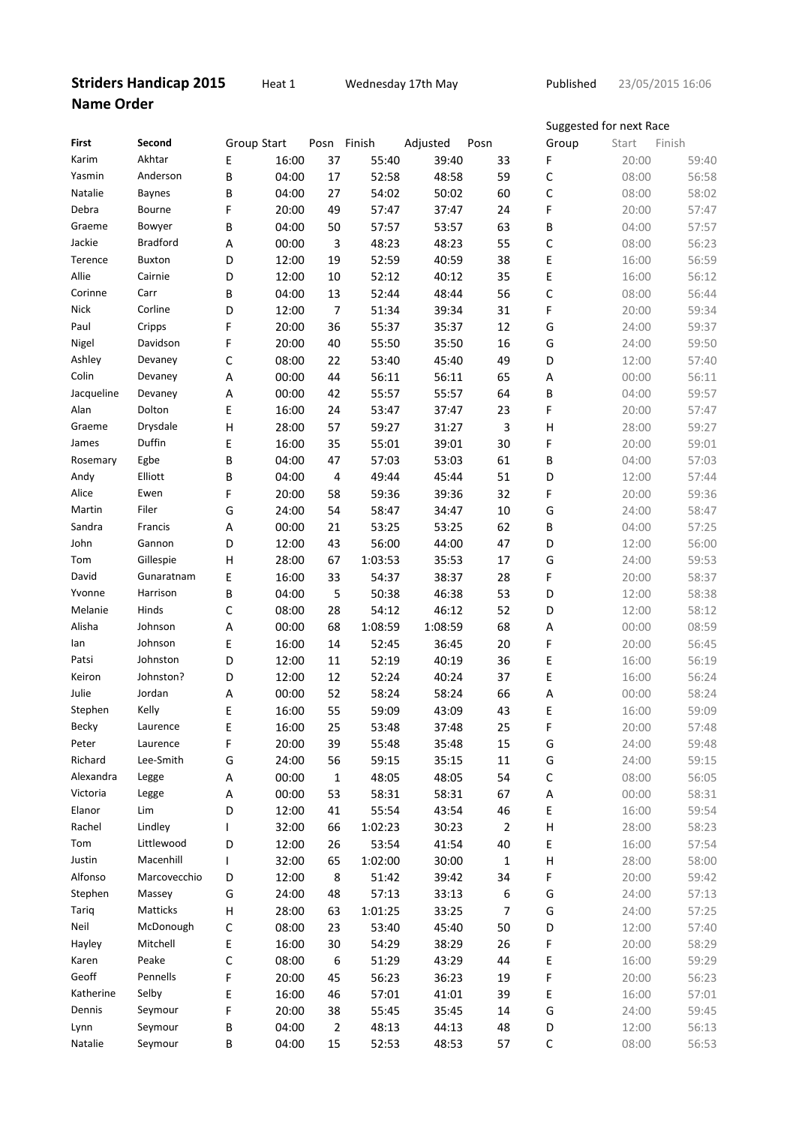## **Striders Handicap 2015 Heat 1** Wednesday 17th May **Published Name Order**

23/05/2015 16:06

|            |                       |             |                |              |         |          |                  | Suggested for next Race |                |                |
|------------|-----------------------|-------------|----------------|--------------|---------|----------|------------------|-------------------------|----------------|----------------|
| First      | Second                |             | Group Start    | Posn Finish  |         | Adjusted | Posn             | Group                   | Start          | Finish         |
| Karim      | Akhtar                | E           | 16:00          | 37           | 55:40   | 39:40    | 33               | F                       | 20:00          | 59:40          |
| Yasmin     | Anderson              | B           | 04:00          | 17           | 52:58   | 48:58    | 59               | C                       | 08:00          | 56:58          |
| Natalie    | <b>Baynes</b>         | В           | 04:00          | 27           | 54:02   | 50:02    | 60               | С                       | 08:00          | 58:02          |
| Debra      | Bourne                | F           | 20:00          | 49           | 57:47   | 37:47    | 24               | F                       | 20:00          | 57:47          |
| Graeme     | Bowyer                | B           | 04:00          | 50           | 57:57   | 53:57    | 63               | B                       | 04:00          | 57:57          |
| Jackie     | <b>Bradford</b>       | Α           | 00:00          | $\mathsf 3$  | 48:23   | 48:23    | 55               | C                       | 08:00          | 56:23          |
| Terence    | <b>Buxton</b>         | D           | 12:00          | 19           | 52:59   | 40:59    | 38               | Ε                       | 16:00          | 56:59          |
| Allie      | Cairnie               | D           | 12:00          | $10\,$       | 52:12   | 40:12    | 35               | E                       | 16:00          | 56:12          |
| Corinne    | Carr                  | В           | 04:00          | 13           | 52:44   | 48:44    | 56               | C                       | 08:00          | 56:44          |
| Nick       | Corline               | D           | 12:00          | 7            | 51:34   | 39:34    | 31               | F                       | 20:00          | 59:34          |
| Paul       | Cripps                | F           | 20:00          | 36           | 55:37   | 35:37    | 12               | G                       | 24:00          | 59:37          |
| Nigel      | Davidson              | F           | 20:00          | 40           | 55:50   | 35:50    | 16               | G                       | 24:00          | 59:50          |
| Ashley     | Devaney               | С           | 08:00          | 22           | 53:40   | 45:40    | 49               | D                       | 12:00          | 57:40          |
| Colin      | Devaney               | A           | 00:00          | 44           | 56:11   | 56:11    | 65               | Α                       | 00:00          | 56:11          |
| Jacqueline | Devaney               | Α           | 00:00          | 42           | 55:57   | 55:57    | 64               | B                       | 04:00          | 59:57          |
| Alan       | Dolton                | E           | 16:00          | 24           | 53:47   | 37:47    | 23               | F                       | 20:00          | 57:47          |
| Graeme     | Drysdale              | H           | 28:00          | 57           | 59:27   | 31:27    | 3                | Η                       | 28:00          | 59:27          |
| James      | Duffin                | Е           | 16:00          | 35           | 55:01   | 39:01    | 30               | F                       | 20:00          | 59:01          |
| Rosemary   | Egbe                  | B           | 04:00          | 47           | 57:03   | 53:03    | 61               | B                       | 04:00          | 57:03          |
| Andy       | Elliott               | B           | 04:00          | 4            | 49:44   | 45:44    | 51               | D                       | 12:00          | 57:44          |
| Alice      | Ewen                  | F           | 20:00          | 58           | 59:36   | 39:36    | 32               | F                       | 20:00          | 59:36          |
| Martin     | Filer                 | G           | 24:00          | 54           | 58:47   | 34:47    | 10               | G                       | 24:00          | 58:47          |
| Sandra     | Francis               | A           | 00:00          | 21           | 53:25   | 53:25    | 62               | B                       | 04:00          | 57:25          |
| John       | Gannon                | D           | 12:00          | 43           | 56:00   | 44:00    | 47               | D                       | 12:00          | 56:00          |
| Tom        | Gillespie             |             |                |              | 1:03:53 | 35:53    |                  | G                       |                | 59:53          |
| David      | Gunaratnam            | H<br>Ε      | 28:00<br>16:00 | 67<br>33     | 54:37   | 38:37    | 17<br>28         | F                       | 24:00<br>20:00 | 58:37          |
| Yvonne     | Harrison              | B           | 04:00          |              | 50:38   | 46:38    | 53               | D                       | 12:00          | 58:38          |
| Melanie    | Hinds                 |             |                | 5            |         | 46:12    |                  |                         |                |                |
| Alisha     | Johnson               | С           | 08:00          | 28           | 54:12   |          | 52               | D                       | 12:00          | 58:12          |
|            | Johnson               | Α           | 00:00          | 68           | 1:08:59 | 1:08:59  | 68               | A                       | 00:00          | 08:59<br>56:45 |
| lan        |                       | Ε           | 16:00          | 14           | 52:45   | 36:45    | 20               | F                       | 20:00          |                |
| Patsi      | Johnston<br>Johnston? | D           | 12:00          | 11           | 52:19   | 40:19    | 36               | E                       | 16:00          | 56:19          |
| Keiron     |                       | D           | 12:00          | 12           | 52:24   | 40:24    | 37               | Ε                       | 16:00          | 56:24          |
| Julie      | Jordan                | A           | 00:00          | 52           | 58:24   | 58:24    | 66               | A                       | 00:00          | 58:24          |
| Stephen    | Kelly                 | E           | 16:00          | 55           | 59:09   | 43:09    | 43               | E                       | 16:00          | 59:09          |
| Becky      | Laurence              | Ε           | 16:00          | 25           | 53:48   | 37:48    | 25               | F                       | 20:00          | 57:48          |
| Peter      | Laurence              | F           | 20:00          | 39           | 55:48   | 35:48    | 15               | G                       | 24:00          | 59:48          |
| Richard    | Lee-Smith             | G           | 24:00          | 56           | 59:15   | 35:15    | 11               | G                       | 24:00          | 59:15          |
| Alexandra  | Legge                 | A           | 00:00          | $\mathbf{1}$ | 48:05   | 48:05    | 54               | С                       | 08:00          | 56:05          |
| Victoria   | Legge                 | A           | 00:00          | 53           | 58:31   | 58:31    | 67               | A                       | 00:00          | 58:31          |
| Elanor     | Lim                   | D           | 12:00          | 41           | 55:54   | 43:54    | 46               | Ε                       | 16:00          | 59:54          |
| Rachel     | Lindley               | L           | 32:00          | 66           | 1:02:23 | 30:23    | $\overline{2}$   | Н                       | 28:00          | 58:23          |
| Tom        | Littlewood            | D           | 12:00          | 26           | 53:54   | 41:54    | 40               | E                       | 16:00          | 57:54          |
| Justin     | Macenhill             | T           | 32:00          | 65           | 1:02:00 | 30:00    | $\mathbf{1}$     | Н                       | 28:00          | 58:00          |
| Alfonso    | Marcovecchio          | D           | 12:00          | 8            | 51:42   | 39:42    | 34               | F                       | 20:00          | 59:42          |
| Stephen    | Massey                | G           | 24:00          | 48           | 57:13   | 33:13    | 6                | G                       | 24:00          | 57:13          |
| Tariq      | Matticks              | Н           | 28:00          | 63           | 1:01:25 | 33:25    | $\boldsymbol{7}$ | G                       | 24:00          | 57:25          |
| Neil       | McDonough             | $\mathsf C$ | 08:00          | 23           | 53:40   | 45:40    | 50               | D                       | 12:00          | 57:40          |
| Hayley     | Mitchell              | E           | 16:00          | 30           | 54:29   | 38:29    | 26               | F                       | 20:00          | 58:29          |
| Karen      | Peake                 | C           | 08:00          | 6            | 51:29   | 43:29    | 44               | E                       | 16:00          | 59:29          |
| Geoff      | Pennells              | F           | 20:00          | 45           | 56:23   | 36:23    | 19               | F                       | 20:00          | 56:23          |
| Katherine  | Selby                 | Ε           | 16:00          | 46           | 57:01   | 41:01    | 39               | E                       | 16:00          | 57:01          |
| Dennis     | Seymour               | F           | 20:00          | 38           | 55:45   | 35:45    | 14               | G                       | 24:00          | 59:45          |
| Lynn       | Seymour               | B           | 04:00          | 2            | 48:13   | 44:13    | 48               | D                       | 12:00          | 56:13          |
| Natalie    | Seymour               | B           | 04:00          | 15           | 52:53   | 48:53    | 57               | $\mathsf C$             | 08:00          | 56:53          |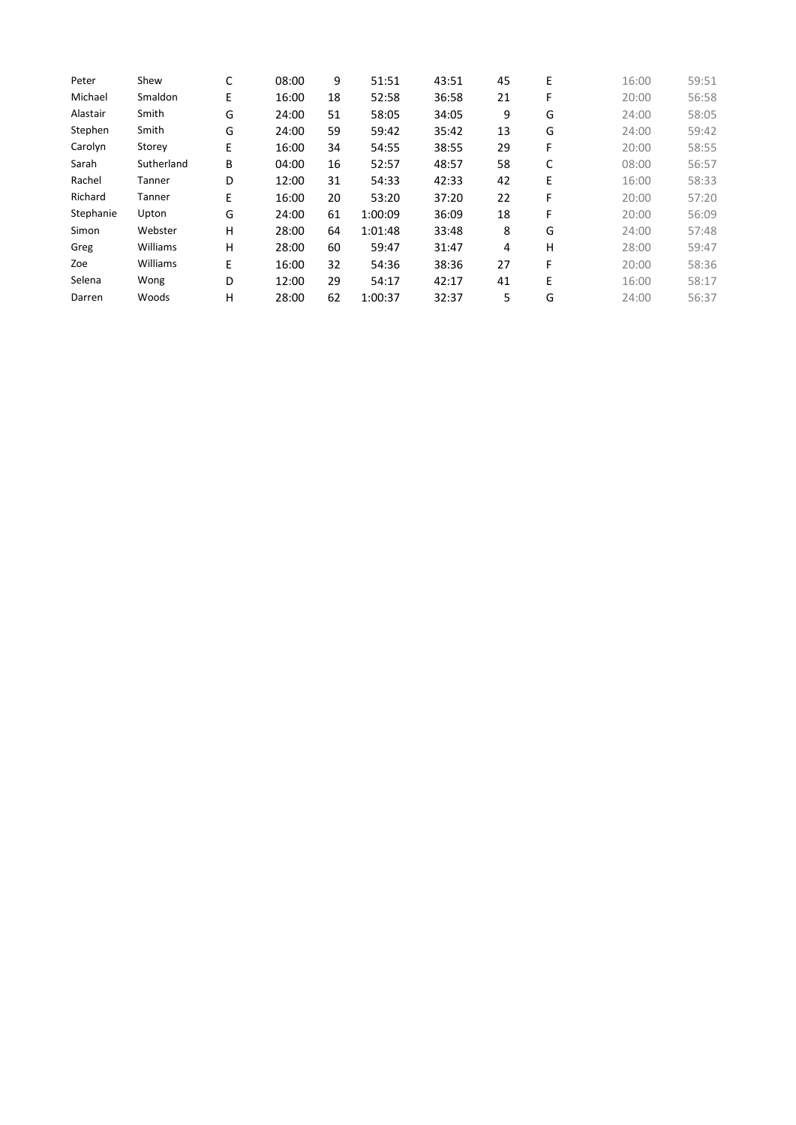| Peter     | Shew       | С | 08:00 | 9  | 51:51   | 43:51 | 45 | E | 16:00 | 59:51 |
|-----------|------------|---|-------|----|---------|-------|----|---|-------|-------|
| Michael   | Smaldon    | E | 16:00 | 18 | 52:58   | 36:58 | 21 | F | 20:00 | 56:58 |
| Alastair  | Smith      | G | 24:00 | 51 | 58:05   | 34:05 | 9  | G | 24:00 | 58:05 |
| Stephen   | Smith      | G | 24:00 | 59 | 59:42   | 35:42 | 13 | G | 24:00 | 59:42 |
| Carolyn   | Storey     | E | 16:00 | 34 | 54:55   | 38:55 | 29 | F | 20:00 | 58:55 |
| Sarah     | Sutherland | В | 04:00 | 16 | 52:57   | 48:57 | 58 | C | 08:00 | 56:57 |
| Rachel    | Tanner     | D | 12:00 | 31 | 54:33   | 42:33 | 42 | E | 16:00 | 58:33 |
| Richard   | Tanner     | E | 16:00 | 20 | 53:20   | 37:20 | 22 | F | 20:00 | 57:20 |
| Stephanie | Upton      | G | 24:00 | 61 | 1:00:09 | 36:09 | 18 | F | 20:00 | 56:09 |
| Simon     | Webster    | Н | 28:00 | 64 | 1:01:48 | 33:48 | 8  | G | 24:00 | 57:48 |
| Greg      | Williams   | Н | 28:00 | 60 | 59:47   | 31:47 | 4  | н | 28:00 | 59:47 |
| Zoe       | Williams   | E | 16:00 | 32 | 54:36   | 38:36 | 27 | F | 20:00 | 58:36 |
| Selena    | Wong       | D | 12:00 | 29 | 54:17   | 42:17 | 41 | E | 16:00 | 58:17 |
| Darren    | Woods      | Н | 28:00 | 62 | 1:00:37 | 32:37 | 5  | G | 24:00 | 56:37 |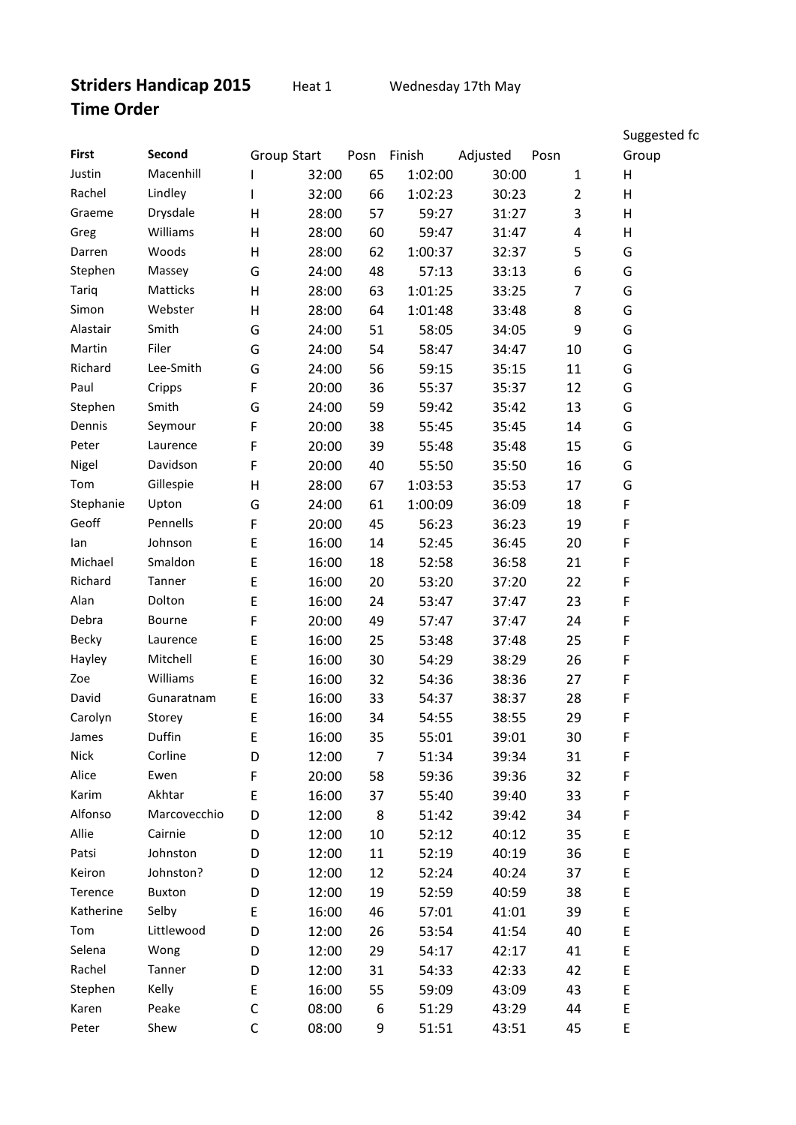|              |              |                    |       |                |             |          |                | Suggested fc |
|--------------|--------------|--------------------|-------|----------------|-------------|----------|----------------|--------------|
| <b>First</b> | Second       | <b>Group Start</b> |       |                | Posn Finish | Adjusted | Posn           | Group        |
| Justin       | Macenhill    |                    | 32:00 | 65             | 1:02:00     | 30:00    | $\mathbf{1}$   | Н            |
| Rachel       | Lindley      |                    | 32:00 | 66             | 1:02:23     | 30:23    | $\overline{2}$ | Н            |
| Graeme       | Drysdale     | $\mathsf{H}$       | 28:00 | 57             | 59:27       | 31:27    | 3              | Н            |
| Greg         | Williams     | $\mathsf{H}$       | 28:00 | 60             | 59:47       | 31:47    | 4              | Н            |
| Darren       | Woods        | H                  | 28:00 | 62             | 1:00:37     | 32:37    | 5              | G            |
| Stephen      | Massey       | G                  | 24:00 | 48             | 57:13       | 33:13    | 6              | G            |
| Tariq        | Matticks     | $\mathsf{H}$       | 28:00 | 63             | 1:01:25     | 33:25    | 7              | G            |
| Simon        | Webster      | Η                  | 28:00 | 64             | 1:01:48     | 33:48    | 8              | G            |
| Alastair     | Smith        | G                  | 24:00 | 51             | 58:05       | 34:05    | 9              | G            |
| Martin       | Filer        | G                  | 24:00 | 54             | 58:47       | 34:47    | 10             | G            |
| Richard      | Lee-Smith    | G                  | 24:00 | 56             | 59:15       | 35:15    | 11             | G            |
| Paul         | Cripps       | F                  | 20:00 | 36             | 55:37       | 35:37    | 12             | G            |
| Stephen      | Smith        | G                  | 24:00 | 59             | 59:42       | 35:42    | 13             | G            |
| Dennis       | Seymour      | F                  | 20:00 | 38             | 55:45       | 35:45    | 14             | G            |
| Peter        | Laurence     | F                  | 20:00 | 39             | 55:48       | 35:48    | 15             | G            |
| Nigel        | Davidson     | F                  | 20:00 | 40             | 55:50       | 35:50    | 16             | G            |
| Tom          | Gillespie    | H                  | 28:00 | 67             | 1:03:53     | 35:53    | 17             | G            |
| Stephanie    | Upton        | G                  | 24:00 | 61             | 1:00:09     | 36:09    | 18             | F            |
| Geoff        | Pennells     | F                  | 20:00 | 45             | 56:23       | 36:23    | 19             | F            |
| lan          | Johnson      | E                  | 16:00 | 14             | 52:45       | 36:45    | 20             | F            |
| Michael      | Smaldon      | E                  | 16:00 | 18             | 52:58       | 36:58    | 21             | F            |
| Richard      | Tanner       | E                  | 16:00 | 20             | 53:20       | 37:20    | 22             | F            |
| Alan         | Dolton       | E                  | 16:00 | 24             | 53:47       | 37:47    | 23             | F            |
| Debra        | Bourne       | F                  | 20:00 | 49             | 57:47       | 37:47    | 24             | F            |
| <b>Becky</b> | Laurence     | $\mathsf E$        | 16:00 | 25             | 53:48       | 37:48    | 25             | F            |
| Hayley       | Mitchell     | E                  | 16:00 | 30             | 54:29       | 38:29    | 26             | F            |
| Zoe          | Williams     | E                  | 16:00 | 32             | 54:36       | 38:36    | 27             | F            |
| David        | Gunaratnam   | E                  | 16:00 | 33             | 54:37       | 38:37    | 28             | F            |
| Carolyn      | Storey       | E                  | 16:00 | 34             | 54:55       | 38:55    | 29             | F            |
| James        | Duffin       | Е                  | 16:00 | 35             | 55:01       | 39:01    | 30             | F            |
| Nick         | Corline      | D                  | 12:00 | $\overline{7}$ | 51:34       | 39:34    | 31             | F            |
| Alice        | Ewen         | F                  | 20:00 | 58             | 59:36       | 39:36    | 32             | F            |
| Karim        | Akhtar       | E                  | 16:00 | 37             | 55:40       | 39:40    | 33             | F            |
| Alfonso      | Marcovecchio | D                  | 12:00 | 8              | 51:42       | 39:42    | 34             | F            |
| Allie        | Cairnie      | D                  | 12:00 | 10             | 52:12       | 40:12    | 35             | E            |
| Patsi        | Johnston     | D                  | 12:00 | 11             | 52:19       | 40:19    | 36             | E            |
| Keiron       | Johnston?    | D                  | 12:00 | 12             | 52:24       | 40:24    | 37             | E            |
| Terence      | Buxton       | D                  | 12:00 | 19             | 52:59       | 40:59    | 38             | E            |
| Katherine    | Selby        | E                  | 16:00 | 46             | 57:01       | 41:01    | 39             | E            |
| Tom          | Littlewood   | D                  | 12:00 | 26             | 53:54       | 41:54    | 40             | E            |
| Selena       | Wong         | D                  | 12:00 | 29             | 54:17       | 42:17    | 41             | E            |
| Rachel       | Tanner       | D                  | 12:00 | 31             | 54:33       | 42:33    | 42             | E            |
| Stephen      | Kelly        | E                  | 16:00 | 55             | 59:09       | 43:09    | 43             | E            |
| Karen        | Peake        | $\mathsf C$        | 08:00 | 6              | 51:29       | 43:29    | 44             | E            |
| Peter        | Shew         | $\mathsf C$        | 08:00 | 9              | 51:51       | 43:51    | 45             | E            |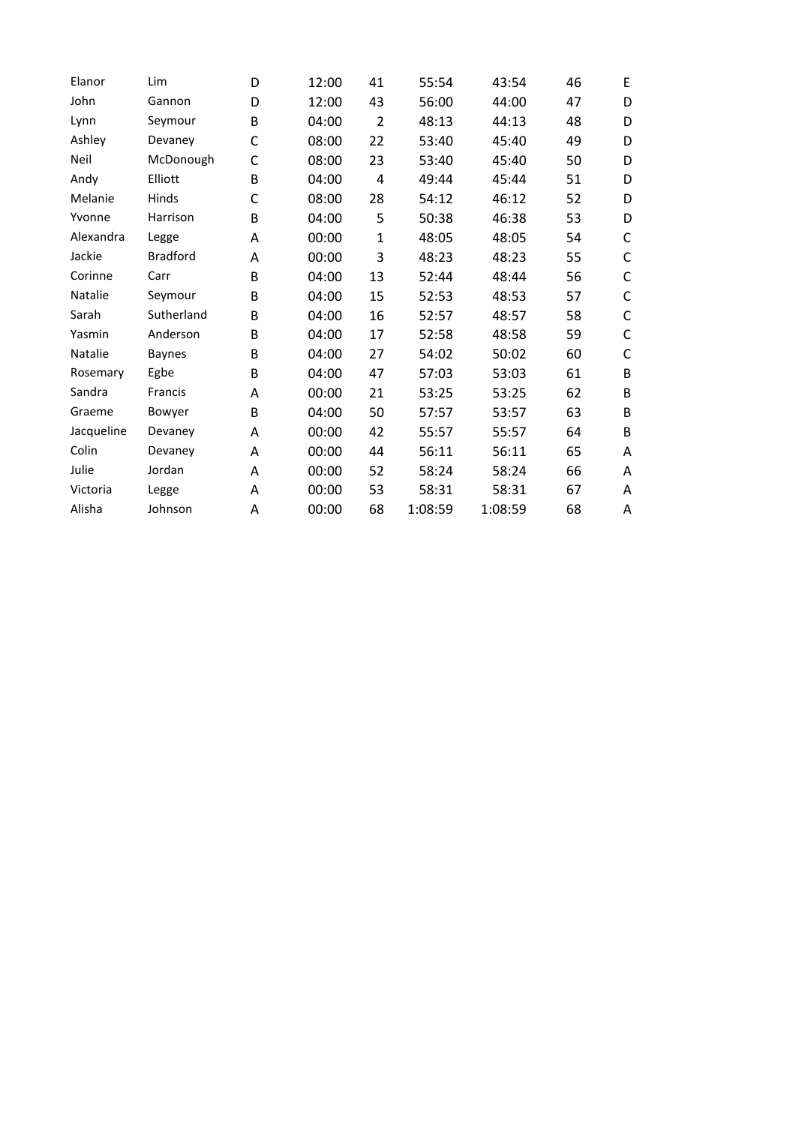| Elanor         | Lim             | D | 12:00 | 41             | 55:54   | 43:54   | 46 | E           |
|----------------|-----------------|---|-------|----------------|---------|---------|----|-------------|
| John           | Gannon          | D | 12:00 | 43             | 56:00   | 44:00   | 47 | D           |
| Lynn           | Seymour         | B | 04:00 | $\overline{2}$ | 48:13   | 44:13   | 48 | D           |
| Ashley         | Devaney         | C | 08:00 | 22             | 53:40   | 45:40   | 49 | D           |
| Neil           | McDonough       | C | 08:00 | 23             | 53:40   | 45:40   | 50 | D           |
| Andy           | Elliott         | В | 04:00 | 4              | 49:44   | 45:44   | 51 | D           |
| Melanie        | Hinds           | C | 08:00 | 28             | 54:12   | 46:12   | 52 | D           |
| Yvonne         | Harrison        | B | 04:00 | 5              | 50:38   | 46:38   | 53 | D           |
| Alexandra      | Legge           | А | 00:00 | $\mathbf{1}$   | 48:05   | 48:05   | 54 | C           |
| Jackie         | <b>Bradford</b> | А | 00:00 | 3              | 48:23   | 48:23   | 55 | C           |
| Corinne        | Carr            | B | 04:00 | 13             | 52:44   | 48:44   | 56 | C           |
| <b>Natalie</b> | Seymour         | B | 04:00 | 15             | 52:53   | 48:53   | 57 | $\mathsf C$ |
| Sarah          | Sutherland      | B | 04:00 | 16             | 52:57   | 48:57   | 58 | C           |
| Yasmin         | Anderson        | B | 04:00 | 17             | 52:58   | 48:58   | 59 | C           |
| Natalie        | <b>Baynes</b>   | B | 04:00 | 27             | 54:02   | 50:02   | 60 | C           |
| Rosemary       | Egbe            | B | 04:00 | 47             | 57:03   | 53:03   | 61 | B           |
| Sandra         | Francis         | A | 00:00 | 21             | 53:25   | 53:25   | 62 | B           |
| Graeme         | Bowyer          | B | 04:00 | 50             | 57:57   | 53:57   | 63 | B           |
| Jacqueline     | Devaney         | А | 00:00 | 42             | 55:57   | 55:57   | 64 | B           |
| Colin          | Devaney         | Α | 00:00 | 44             | 56:11   | 56:11   | 65 | A           |
| Julie          | Jordan          | A | 00:00 | 52             | 58:24   | 58:24   | 66 | A           |
| Victoria       | Legge           | А | 00:00 | 53             | 58:31   | 58:31   | 67 | Α           |
| Alisha         | Johnson         | Α | 00:00 | 68             | 1:08:59 | 1:08:59 | 68 | Α           |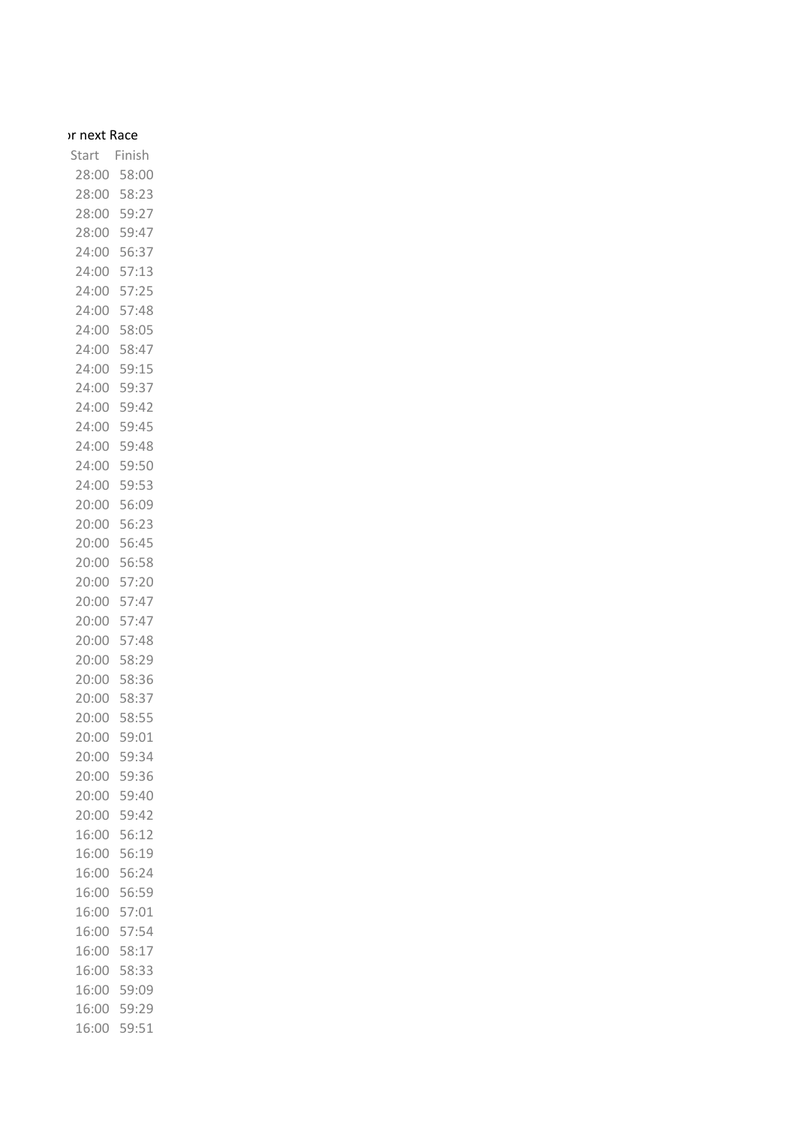## or next Race

Start Finish 28:00 58:00 28:00 58:23 28:00 59:27 28:00 59:47 24:00 56:37 24:00 57:13 24:00 57:25 24:00 57:48 24:00 58:05 24:00 58:47 24:00 59:15 24:00 59:37 24:00 59:42 24:00 59:45 24:00 59:48 24:00 59:50 24:00 59:53 20:00 56:09 20:00 56:23 20:00 56:45 20:00 56:58 20:00 57:20 20:00 57:47 20:00 57:47 20:00 57:48 20:00 58:29 20:00 58:36 20:00 58:37 20:00 58:55 20:00 59:01 20:00 59:34 20:00 59:36 20:00 59:40 20:00 59:42 16:00 56:12 16:00 56:19 16:00 56:24 16:00 56:59 16:00 57:01 16:00 57:54 16:00 58:17 16:00 58:33 16:00 59:09 16:00 59:29 16:00 59:51